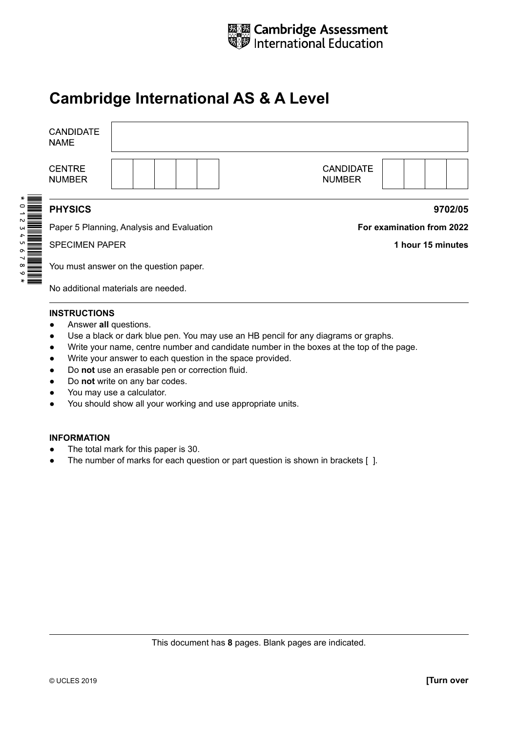

## **Cambridge International AS & A Level**

| <b>CANDIDATE</b><br><b>NAME</b> |                                           |                                   |
|---------------------------------|-------------------------------------------|-----------------------------------|
| <b>CENTRE</b><br><b>NUMBER</b>  |                                           | <b>CANDIDATE</b><br><b>NUMBER</b> |
| <b>PHYSICS</b>                  |                                           | 9702/05                           |
|                                 | Paper 5 Planning, Analysis and Evaluation | For examination from 2022         |
| <b>SPECIMEN PAPER</b>           |                                           | 1 hour 15 minutes                 |
|                                 | You must answer on the question paper.    |                                   |
|                                 | No additional materials are needed.       |                                   |

## **INSTRUCTIONS**

- Answer **all** questions.
- Use a black or dark blue pen. You may use an HB pencil for any diagrams or graphs.
- ● Write your name, centre number and candidate number in the boxes at the top of the page.
- ● Write your answer to each question in the space provided.
- ● Do **not** use an erasable pen or correction fluid.
- ● Do **not** write on any bar codes.
- You may use a calculator.
- You should show all your working and use appropriate units.

## **INFORMATION**

- The total mark for this paper is 30.
- The number of marks for each question or part question is shown in brackets [ ].

This document has **8** pages. Blank pages are indicated.

© UCLES 2019 **[Turn over**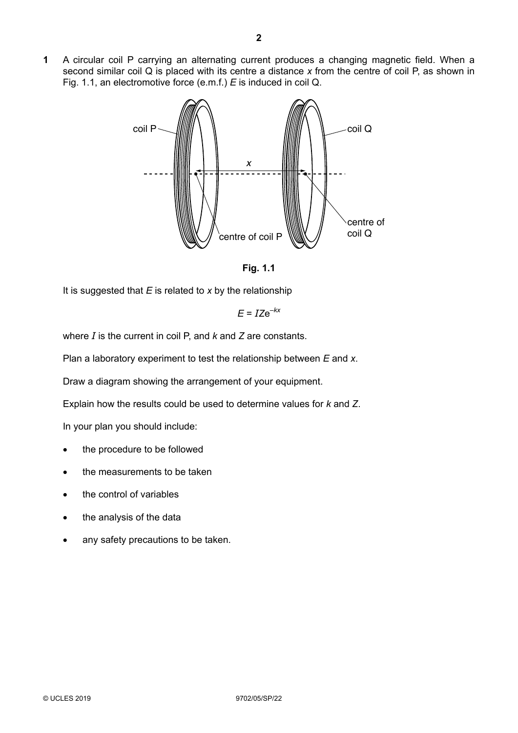**1** A circular coil P carrying an alternating current produces a changing magnetic field. When a second similar coil Q is placed with its centre a distance *x* from the centre of coil P, as shown in Fig. 1.1, an electromotive force (e.m.f.) *E* is induced in coil Q.



**Fig. 1.1**

It is suggested that *E* is related to *x* by the relationship

$$
E = IZe^{-kx}
$$

where *I* is the current in coil P, and *k* and *Z* are constants.

Plan a laboratory experiment to test the relationship between *E* and *x*.

Draw a diagram showing the arrangement of your equipment.

Explain how the results could be used to determine values for *k* and *Z*.

In your plan you should include:

- the procedure to be followed
- the measurements to be taken
- the control of variables
- the analysis of the data
- any safety precautions to be taken.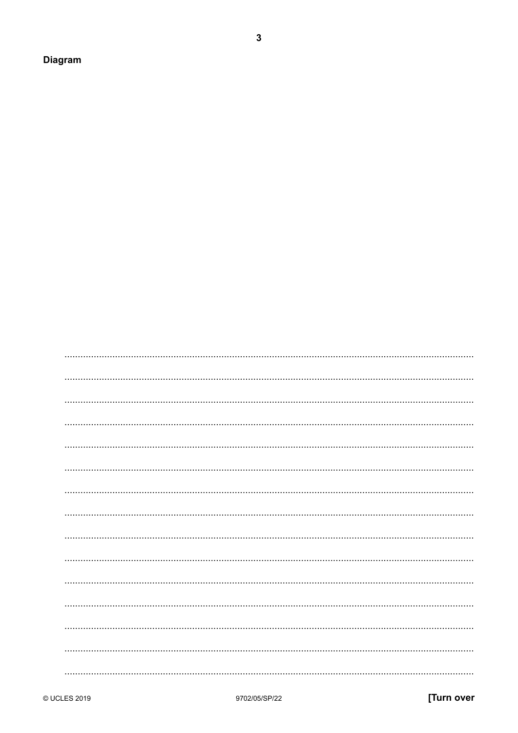Diagram

 $\mathbf{3}$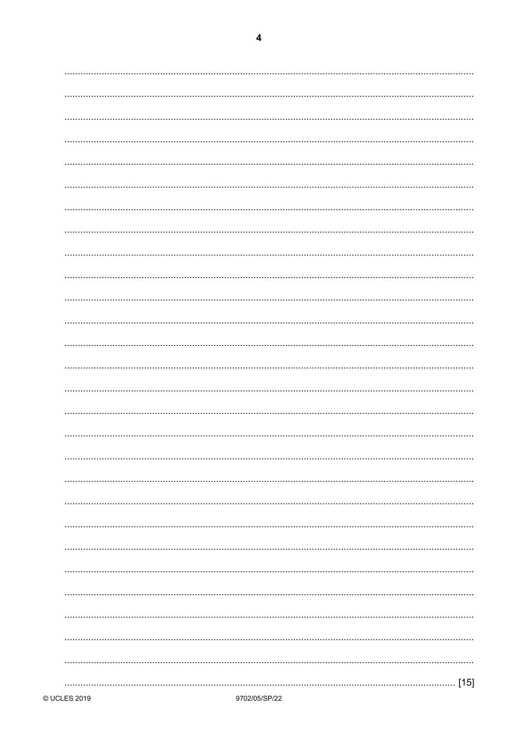|--|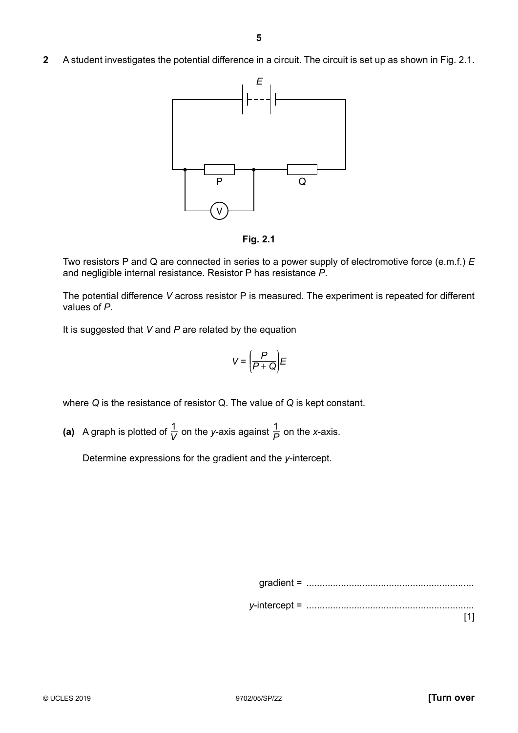**2** A student investigates the potential difference in a circuit. The circuit is set up as shown in Fig. 2.1.



**Fig. 2.1**

Two resistors P and Q are connected in series to a power supply of electromotive force (e.m.f.) *E* and negligible internal resistance. Resistor P has resistance *P*.

The potential difference *V* across resistor P is measured. The experiment is repeated for different values of *P*.

It is suggested that *V* and *P* are related by the equation

$$
V = \left(\frac{P}{P + Q}\right)E
$$

where *Q* is the resistance of resistor Q. The value of *Q* is kept constant.

(a) A graph is plotted of  $\frac{1}{V}$  on the *y*-axis against  $\frac{1}{P}$  on the *x*-axis.

Determine expressions for the gradient and the *y*-intercept.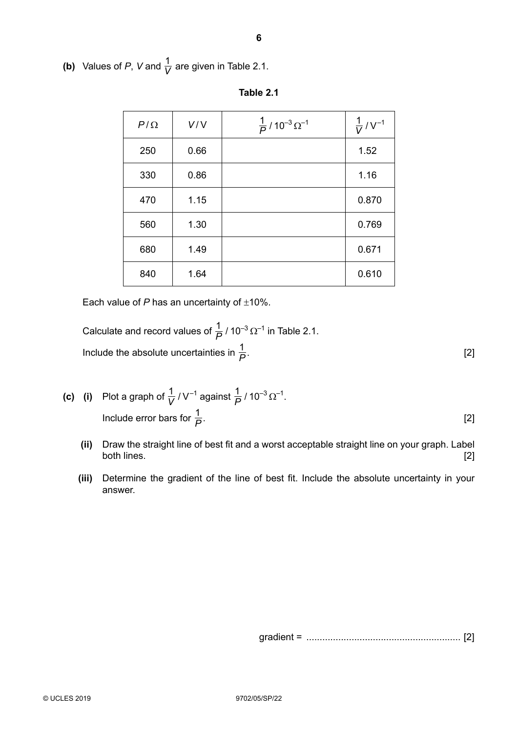**(b)** Values of *P*, *V* and  $\frac{1}{V}$  are given in Table 2.1.

| $P/\Omega$ | V/V  | $\frac{1}{P}$ /10 <sup>-3</sup> $\Omega^{-1}$ | $\frac{1}{V}$ / V <sup>-1</sup> |
|------------|------|-----------------------------------------------|---------------------------------|
| 250        | 0.66 |                                               | 1.52                            |
| 330        | 0.86 |                                               | 1.16                            |
| 470        | 1.15 |                                               | 0.870                           |
| 560        | 1.30 |                                               | 0.769                           |
| 680        | 1.49 |                                               | 0.671                           |
| 840        | 1.64 |                                               | 0.610                           |

Each value of *P* has an uncertainty of  $\pm$ 10%.

Calculate and record values of  $\frac{1}{P}$  / 10<sup>-3</sup>  $\Omega^{-1}$  in Table 2.1. Include the absolute uncertainties in  $\frac{1}{P}$ .  $\frac{1}{P}$ . [2]

- **(c) (i)** Plot a graph of  $\frac{1}{V}$  /  $V^{-1}$  against  $\frac{1}{P}$  / 10<sup>-3</sup>  $\Omega^{-1}$ .  **Include error bars for**  $\frac{1}{P}$ **.**  $\frac{1}{P}$ . [2]
	- **(ii)** Draw the straight line of best fit and a worst acceptable straight line on your graph. Label both lines. [2]
	- **(iii)** Determine the gradient of the line of best fit. Include the absolute uncertainty in your answer.

gradient = .......................................................... [2]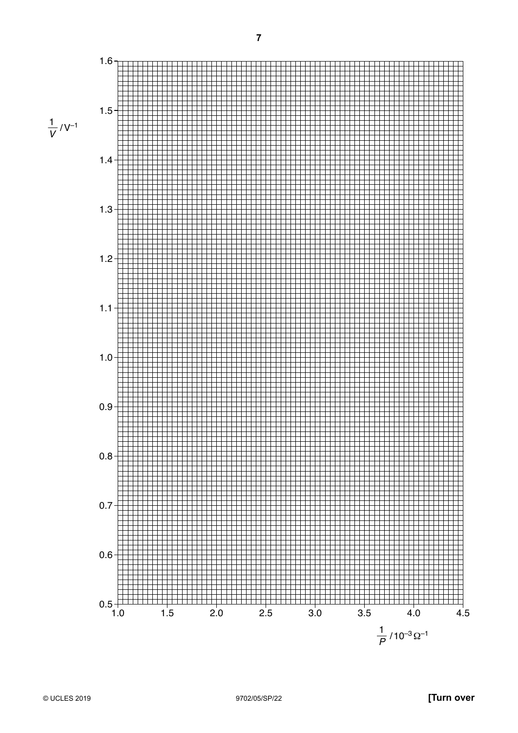$\frac{1}{V}$ /V<sup>-1</sup>



**7**